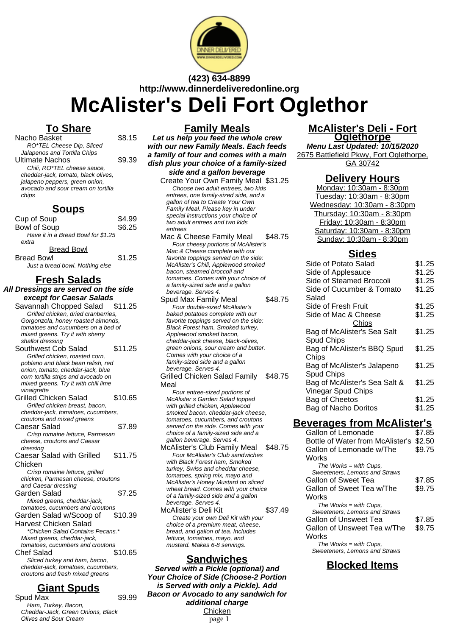

# **(423) 634-8899 http://www.dinnerdeliveredonline.org McAlister's Deli Fort Oglethor**

## **To Share**

| Nacho Basket                        | \$8.15 |
|-------------------------------------|--------|
| RO*TEL Cheese Dip, Sliced           |        |
| Jalapenos and Tortilla Chips        |        |
| <b>Ultimate Nachos</b>              | \$9.39 |
| Chili, RO*TEL cheese sauce,         |        |
| cheddar-jack, tomato, black olives, |        |
| jalapeno peppers, green onion,      |        |
| avocado and sour cream on tortilla  |        |
| chips                               |        |
|                                     |        |

### **Soups**

| Cup of Soup                        | \$4.99 |
|------------------------------------|--------|
| <b>Bowl of Soup</b>                | \$6.25 |
| Have it in a Bread Bowl for \$1.25 |        |
| extra                              |        |
| <b>Bread Bowl</b>                  |        |
| <b>Bread Bowl</b>                  | \$1.25 |
| Just a bread bowl. Nothing else    |        |

## **Fresh Salads**

- **All Dressings are served on the side except for Caesar Salads**
	- Savannah Chopped Salad \$11.25 Grilled chicken, dried cranberries, Gorgonzola, honey roasted almonds, tomatoes and cucumbers on a bed of mixed greens. Try it with sherry shallot dressing
	- Southwest Cob Salad \$11.25 Grilled chicken, roasted corn, poblano and black bean relish, red onion, tomato, cheddar-jack, blue corn tortilla strips and avocado on mixed greens. Try it with chili lime vinaigrette Grilled Chicken Salad \$10.65 Grilled chicken breast, bacon, cheddar-jack, tomatoes, cucumbers, croutons and mixed greens Caesar Salad \$7.89
	- Crisp romaine lettuce, Parmesan cheese, croutons and Caesar dressing Caesar Salad with Grilled Chicken \$11.75
	- Crisp romaine lettuce, grilled chicken, Parmesan cheese, croutons and Caesar dressing Garden Salad \$7.25 Mixed greens, cheddar-jack,
	- tomatoes, cucumbers and croutons Garden Salad w/Scoop of Harvest Chicken Salad \$10.39
	- \*Chicken Salad Contains Pecans.\* Mixed greens, cheddar-jack, tomatoes, cucumbers and croutons Chef Salad \$10.65 Sliced turkey and ham, bacon, cheddar-jack, tomatoes, cucumbers, croutons and fresh mixed greens

# **Giant Spuds**

Spud Max  $$9.99$ Ham, Turkey, Bacon, Cheddar-Jack, Green Onions, Black Olives and Sour Cream

## **Family Meals**

**Let us help you feed the whole crew with our new Family Meals. Each feeds a family of four and comes with a main dish plus your choice of a family-sized side and a gallon beverage**

- Create Your Own Family Meal \$31.25 Choose two adult entrees, two kids entrees, one family-sized side, and a gallon of tea to Create Your Own Family Meal. Please key in under special instructions your choice of two adult entrees and two kids entrees
- Mac & Cheese Family Meal \$48.75 Four cheesy portions of McAlister's Mac & Cheese complete with our favorite toppings served on the side: McAlister's Chili, Applewood smoked bacon, steamed broccoli and tomatoes. Comes with your choice of a family-sized side and a gallon beverage. Serves 4.

Spud Max Family Meal \$48.75 Four double-sized McAlister's baked potatoes complete with our favorite toppings served on the side: Black Forest ham, Smoked turkey, Applewood smoked bacon, cheddar-jack cheese, black-olives, green onions, sour cream and butter. Comes with your choice of a family-sized side and a gallon beverage. Serves 4.

Grilled Chicken Salad Family Meal \$48.75

Four entree-sized portions of McAlister s Garden Salad topped with grilled chicken, Applewood smoked bacon, cheddar-jack cheese, tomatoes, cucumbers, and croutons served on the side. Comes with your choice of a family-sized side and a gallon beverage. Serves 4.

- McAlister's Club Family Meal \$48.75 Four McAlister's Club sandwiches with Black Forest ham, Smoked turkey, Swiss and cheddar cheese, tomatoes, spring mix, mayo and McAlister's Honey Mustard on sliced wheat bread. Comes with your choice of a family-sized side and a gallon beverage. Serves 4.
- McAlister's Deli Kit \$37.49 Create your own Deli Kit with your choice of a premium meat, cheese, bread, and gallon of tea. Includes lettuce, tomatoes, mayo, and mustard. Makes 6-8 servings.

### **Sandwiches**

**Served with a Pickle (optional) and Your Choice of Side (Choose-2 Portion is Served with only a Pickle). Add Bacon or Avocado to any sandwich for additional charge Chicken** page 1

#### **McAlister's Deli - Fort Oglethorpe**

**Menu Last Updated: 10/15/2020** 2675 Battlefield Pkwy, Fort Oglethorpe, GA 30742

### **Delivery Hours**

Monday: 10:30am - 8:30pm Tuesday: 10:30am - 8:30pm Wednesday: 10:30am - 8:30pm Thursday: 10:30am - 8:30pm Friday: 10:30am - 8:30pm Saturday: 10:30am - 8:30pm Sunday: 10:30am - 8:30pm

### **Sides**

| Side of Potato Salad          | \$1.25 |
|-------------------------------|--------|
| Side of Applesauce            | \$1.25 |
| Side of Steamed Broccoli      | \$1.25 |
| Side of Cucumber & Tomato     | \$1.25 |
| Salad                         |        |
| Side of Fresh Fruit           | \$1.25 |
| Side of Mac & Cheese          | \$1.25 |
| Chips                         |        |
| Bag of McAlister's Sea Salt   | \$1.25 |
| Spud Chips                    |        |
| Bag of McAlister's BBQ Spud   | \$1.25 |
| Chips                         |        |
| Bag of McAlister's Jalapeno   | \$1.25 |
| Spud Chips                    |        |
| Bag of McAlister's Sea Salt & | \$1.25 |
| Vinegar Spud Chips            |        |
| Bag of Cheetos                | \$1.25 |
| Bag of Nacho Doritos          | \$1.25 |
|                               |        |

# **Beverages from McAlister's**

| Gallon of Lemonade               | \$7.85 |
|----------------------------------|--------|
| Bottle of Water from McAlister's | \$2.50 |
| Gallon of Lemonade w/The         | \$9.75 |
| Works                            |        |
| The Works $=$ with Cups,         |        |
| Sweeteners, Lemons and Straws    |        |
| Gallon of Sweet Tea              | \$7.85 |
| Gallon of Sweet Tea w/The        | \$9.75 |
| Works                            |        |
| The Works $=$ with Cups,         |        |
| Sweeteners, Lemons and Straws    |        |
| Gallon of Unsweet Tea            | \$7.85 |
| Gallon of Unsweet Tea w/The      | \$9.75 |
| Works                            |        |
| The Works $=$ with Cups,         |        |
| Sweeteners. Lemons and Straws    |        |

## **Blocked Items**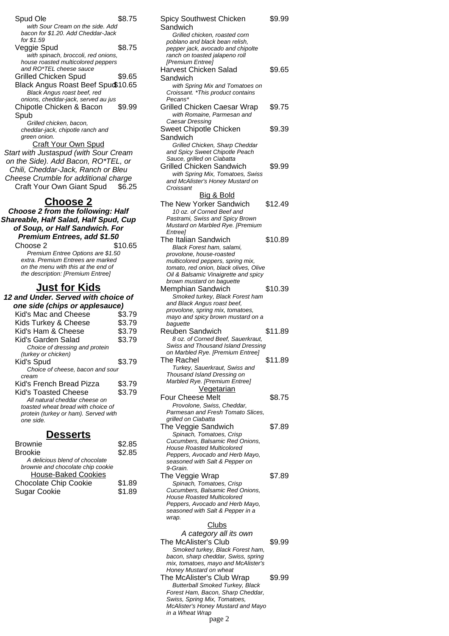| Spud Ole                                                               | \$8.75 |
|------------------------------------------------------------------------|--------|
| with Sour Cream on the side. Add<br>bacon for \$1.20. Add Cheddar-Jack |        |
| for \$1.59                                                             |        |
| Veggie Spud                                                            | \$8.75 |
| with spinach, broccoli, red onions,                                    |        |
| house roasted multicolored peppers                                     |        |
| and RO*TEL cheese sauce                                                |        |
| <b>Grilled Chicken Spud</b>                                            | \$9.65 |
| Black Angus Roast Beef Spuct 10.65                                     |        |
| Black Angus roast beef, red                                            |        |
| onions, cheddar-jack, served au jus                                    |        |
| Chipotle Chicken & Bacon                                               | \$9.99 |
| Spub                                                                   |        |
| Grilled chicken, bacon,                                                |        |
| cheddar-jack, chipotle ranch and                                       |        |
| green onion.                                                           |        |
| <b>Craft Your Own Spud</b>                                             |        |
| Start with Justaspud (with Sour Cream                                  |        |
| on the Side). Add Bacon, RO*TEL, or                                    |        |
| Chili, Cheddar-Jack, Ranch or Bleu                                     |        |
| Cheese Crumble for additional charge                                   |        |
| Craft Your Own Giant Spud \$6.25                                       |        |
|                                                                        |        |
| <u>Choose 2</u>                                                        |        |
| Choose 2 from the following: Half                                      |        |
| Shareable, Half Salad, Half Spud, Cup                                  |        |
| of Soup, or Half Sandwich, For                                         |        |
|                                                                        |        |

| nareable, Half Salad, Half Spud, Cup<br>of Soup, or Half Sandwich. For<br>Premium Entrees, add \$1.50                                              |         |
|----------------------------------------------------------------------------------------------------------------------------------------------------|---------|
| Choose 2                                                                                                                                           | \$10.65 |
| Premium Entree Options are \$1.50<br>extra. Premium Entrees are marked<br>on the menu with this at the end of<br>the description: [Premium Entree] |         |

### **Just for Kids**

| 12 and Under. Served with choice of                                                                                                 |        |
|-------------------------------------------------------------------------------------------------------------------------------------|--------|
| one side (chips or applesauce)                                                                                                      |        |
| Kid's Mac and Cheese                                                                                                                | \$3.79 |
| Kids Turkey & Cheese                                                                                                                | \$3.79 |
| Kid's Ham & Cheese                                                                                                                  | \$3.79 |
| Kid's Garden Salad                                                                                                                  | \$3.79 |
| Choice of dressing and protein<br>(turkey or chicken)                                                                               |        |
| Kid's Spud                                                                                                                          | \$3.79 |
| Choice of cheese, bacon and sour<br>cream                                                                                           |        |
| Kid's French Bread Pizza                                                                                                            | \$3.79 |
| Kid's Toasted Cheese<br>All natural cheddar cheese on<br>toasted wheat bread with choice of<br>protein (turkey or ham). Served with | \$3.79 |
| one side.                                                                                                                           |        |

## **Desserts**

| <b>Brownie</b>                    | \$2.85 |
|-----------------------------------|--------|
| <b>Brookie</b>                    | \$2.85 |
| A delicious blend of chocolate    |        |
| brownie and chocolate chip cookie |        |
| <b>House-Baked Cookies</b>        |        |
| <b>Chocolate Chip Cookie</b>      | \$1.89 |
| <b>Sugar Cookie</b>               | \$1.89 |
|                                   |        |

| Spicy Southwest Chicken                                                     | \$9.99  |
|-----------------------------------------------------------------------------|---------|
| Sandwich                                                                    |         |
| Grilled chicken, roasted corn                                               |         |
| poblano and black bean relish,<br>pepper jack, avocado and chipolte         |         |
| ranch on toasted jalapeno roll                                              |         |
| [Premium Entree]                                                            |         |
| <b>Harvest Chicken Salad</b>                                                | \$9.65  |
| Sandwich                                                                    |         |
| with Spring Mix and Tomatoes on                                             |         |
| Croissant. *This product contains                                           |         |
| Pecans*                                                                     |         |
| Grilled Chicken Caesar Wrap                                                 | \$9.75  |
| with Romaine, Parmesan and<br>Caesar Dressing                               |         |
| Sweet Chipotle Chicken                                                      | \$9.39  |
| Sandwich                                                                    |         |
| Grilled Chicken, Sharp Cheddar                                              |         |
| and Spicy Sweet Chipotle Peach                                              |         |
| Sauce, grilled on Ciabatta                                                  |         |
| Grilled Chicken Sandwich                                                    | \$9.99  |
| with Spring Mix, Tomatoes, Swiss                                            |         |
| and McAlister's Honey Mustard on                                            |         |
| Croissant                                                                   |         |
| Big & Bold                                                                  |         |
| The New Yorker Sandwich                                                     | \$12.49 |
| 10 oz. of Corned Beef and                                                   |         |
| Pastrami, Swiss and Spicy Brown<br>Mustard on Marbled Rye. [Premium         |         |
| Entree <sub>l</sub>                                                         |         |
| <b>The Italian Sandwich</b>                                                 | \$10.89 |
| Black Forest ham, salami,                                                   |         |
| provolone, house-roasted                                                    |         |
| multicolored peppers, spring mix,                                           |         |
| tomato, red onion, black olives, Olive                                      |         |
| Oil & Balsamic Vinaigrette and spicy<br>brown mustard on baguette           |         |
| Memphian Sandwich                                                           | \$10.39 |
| Smoked turkey, Black Forest ham                                             |         |
| and Black Angus roast beef,                                                 |         |
| provolone, spring mix, tomatoes,                                            |         |
| mayo and spicy brown mustard on a                                           |         |
| baquette                                                                    |         |
| <b>Reuben Sandwich</b>                                                      | \$11.89 |
| 8 oz. of Corned Beef, Sauerkraut,<br>Swiss and Thousand Island Dressing     |         |
| on Marbled Rye. [Premium Entree]                                            |         |
| The Rachel                                                                  | \$11.89 |
| Turkey, Sauerkraut, Swiss and                                               |         |
| Thousand Island Dressing on                                                 |         |
| Marbled Rye. [Premium Entree]                                               |         |
|                                                                             |         |
| <b>Vegetarian</b>                                                           |         |
| <b>Four Cheese Melt</b>                                                     | \$8.75  |
| Provolone, Swiss, Cheddar,                                                  |         |
| Parmesan and Fresh Tomato Slices,                                           |         |
| grilled on Ciabatta                                                         |         |
| The Veggie Sandwich                                                         | \$7.89  |
| Spinach, Tomatoes, Crisp                                                    |         |
| Cucumbers, Balsamic Red Onions,<br><b>House Roasted Multicolored</b>        |         |
| Peppers, Avocado and Herb Mayo,                                             |         |
| seasoned with Salt & Pepper on                                              |         |
| 9-Grain.                                                                    |         |
| The Veggie Wrap                                                             | \$7.89  |
| Spinach, Tomatoes, Crisp                                                    |         |
| Cucumbers, Balsamic Red Onions,                                             |         |
| <b>House Roasted Multicolored</b>                                           |         |
| Peppers, Avocado and Herb Mayo,<br>seasoned with Salt & Pepper in a         |         |
| wrap.                                                                       |         |
| <u>Clubs</u>                                                                |         |
| A category all its own                                                      |         |
|                                                                             | \$9.99  |
| The McAlister's Club<br>Smoked turkey, Black Forest ham,                    |         |
| bacon, sharp cheddar, Swiss, spring                                         |         |
| mix, tomatoes, mayo and McAlister's                                         |         |
| Honey Mustard on wheat                                                      |         |
| The McAlister's Club Wrap                                                   | \$9.99  |
| <b>Butterball Smoked Turkey, Black</b><br>Forest Ham, Bacon, Sharp Cheddar, |         |
| Swiss, Spring Mix, Tomatoes,                                                |         |
| McAlister's Honey Mustard and Mayo                                          |         |
| in a Wheat Wrap<br>page 2                                                   |         |